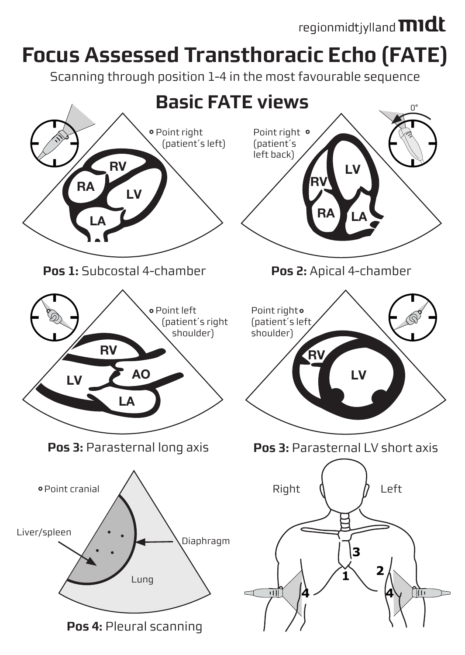## regionmidtjylland **midt**

## **Focus Assessed Transthoracic Echo (FATE)**

Scanning through position 1-4 in the most favourable sequence

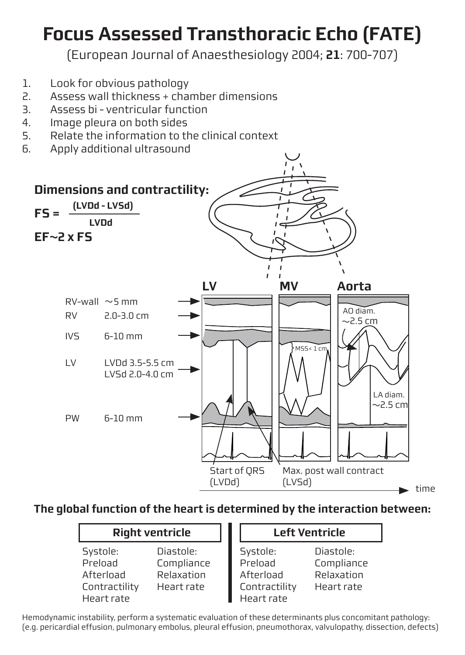## **Focus Assessed Transthoracic Echo (FATE)**

(European Journal of Anaesthesiology 2004; **21**: 700-707)

- 1. Look for obvious pathology
- 2. Assess wall thickness + chamber dimensions
- 3. Assess bi ventricular function<br>4. Image pleura on both sides
- 4. Image pleura on both sides<br>5. Relate the information to the
- 5. Relate the information to the clinical context<br>6. Apply additional ultrasound
- 6. Apply additional ultrasound



**The global function of the heart is determined by the interaction between:**

| <b>Right ventricle</b>                                          |                                                     | <b>Left Ventricle</b>                                           |                                                     |  |
|-----------------------------------------------------------------|-----------------------------------------------------|-----------------------------------------------------------------|-----------------------------------------------------|--|
| Systole:<br>Preload<br>Afterload<br>Contractility<br>Heart rate | Diastole:<br>Compliance<br>Relaxation<br>Heart rate | Systole:<br>Preload<br>Afterload<br>Contractility<br>Heart rate | Diastole:<br>Compliance<br>Relaxation<br>Heart rate |  |

Hemodynamic instability, perform a systematic evaluation of these determinants plus concomitant pathology: (e.g. pericardial effusion, pulmonary embolus, pleural effusion, pneumothorax, valvulopathy, dissection, defects)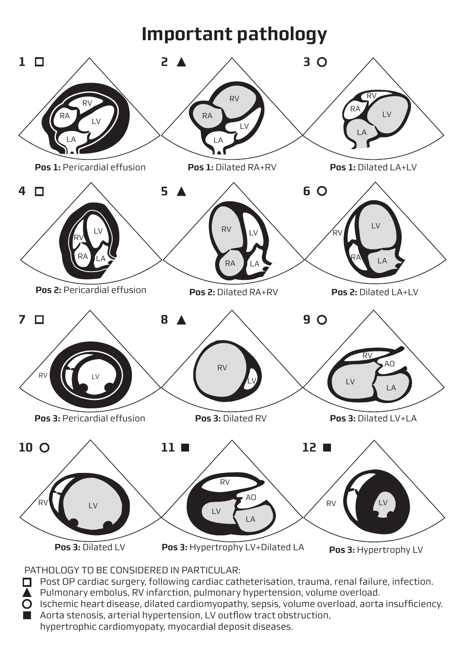## **Important pathology**



PATHOLOGY TO BE CONSIDERED IN PARTICULAR:

- Post OP cardiac surgery, following cardiac catheterisation, trauma, renal failure, infection.
- $\overline{\blacktriangle}$  Pulmonary embolus, RV infarction, pulmonary hypertension, volume overload.
- $\overline{O}$  Ischemic heart disease, dilated cardiomyopathy, sepsis, volume overload, aorta insufficiency.
- **Aorta stenosis, arterial hypertension, LV outflow tract obstruction,** 
	- hypertrophic cardiomyopaty, myocardial deposit diseases.